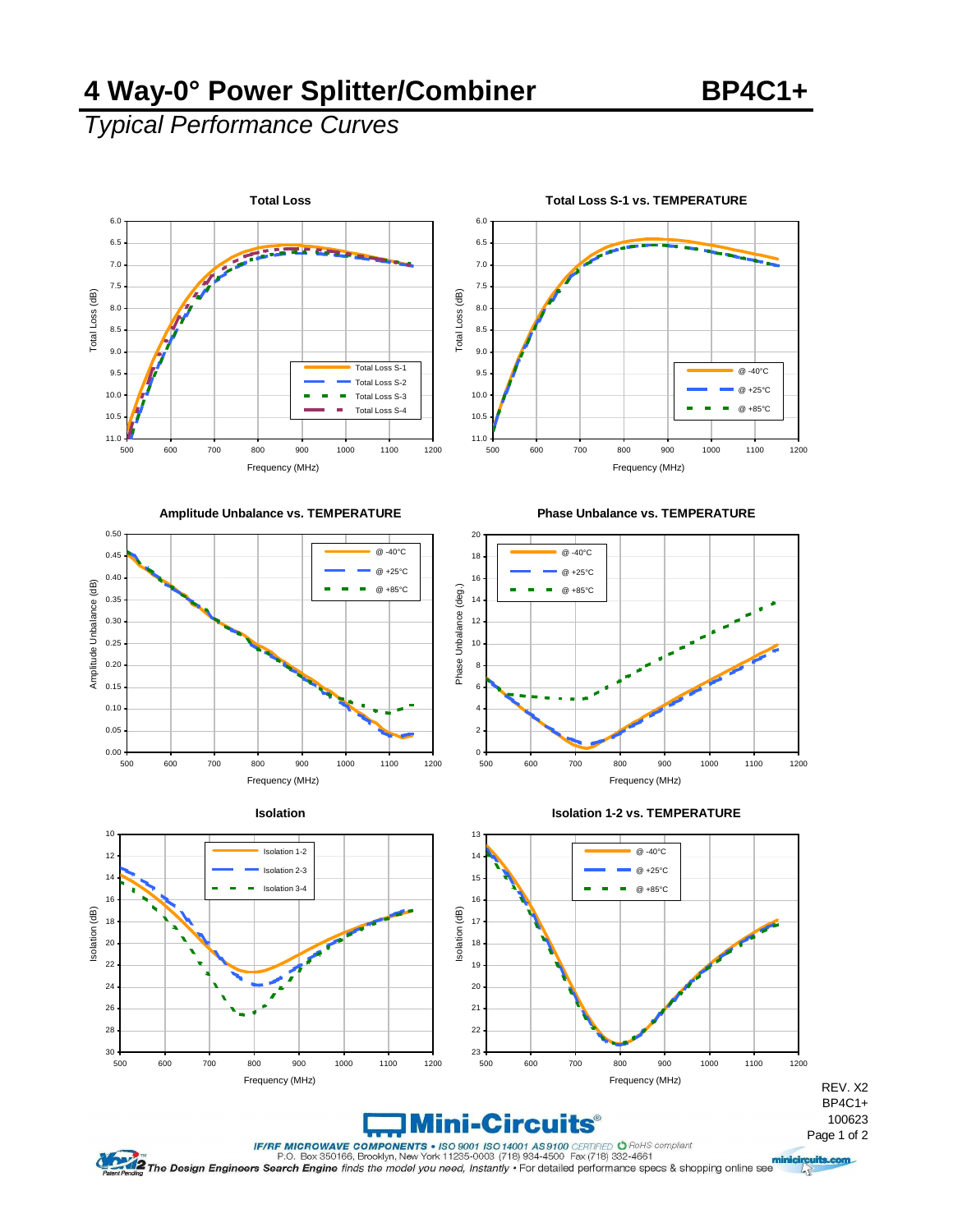### **4 Way-0° Power Splitter/Combiner BP4C1+**

# *Typical Performance Curves*









**Isolation 1-2 vs. TEMPERATURE**